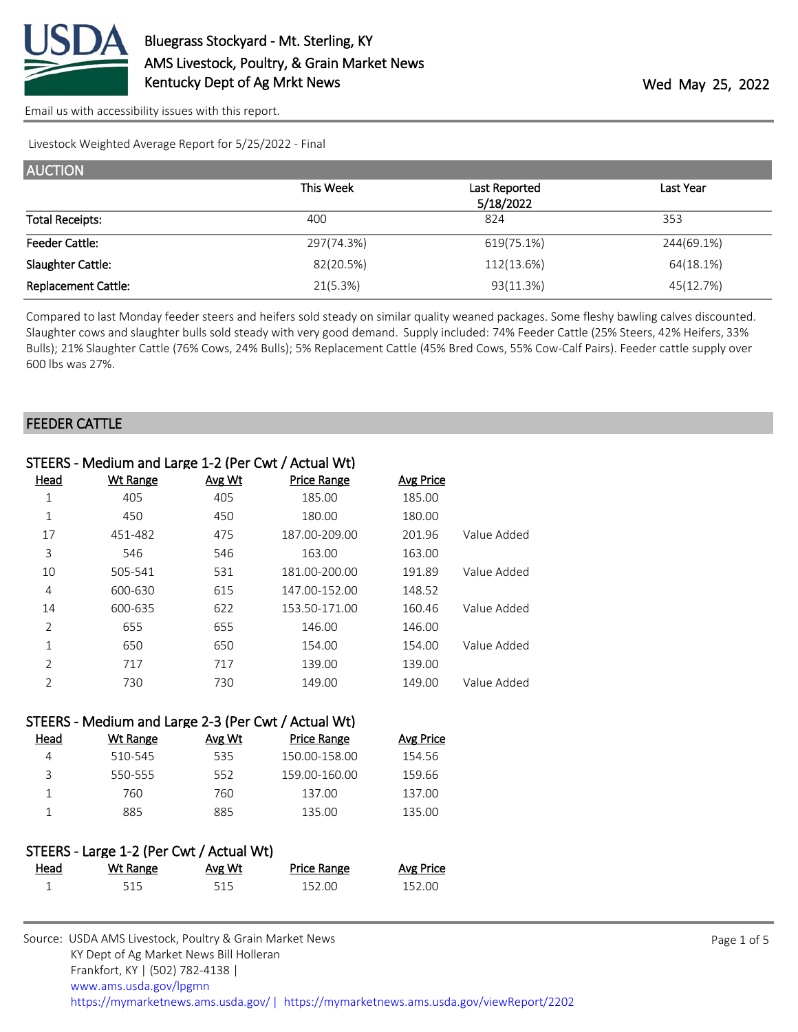

Livestock Weighted Average Report for 5/25/2022 - Final

| <b>AUCTION</b>             |            |               |            |
|----------------------------|------------|---------------|------------|
|                            | This Week  | Last Reported | Last Year  |
|                            |            | 5/18/2022     |            |
| <b>Total Receipts:</b>     | 400        | 824           | 353        |
| <b>Feeder Cattle:</b>      | 297(74.3%) | 619(75.1%)    | 244(69.1%) |
| Slaughter Cattle:          | 82(20.5%)  | 112(13.6%)    | 64(18.1%)  |
| <b>Replacement Cattle:</b> | 21(5.3%)   | 93(11.3%)     | 45(12.7%)  |

Compared to last Monday feeder steers and heifers sold steady on similar quality weaned packages. Some fleshy bawling calves discounted. Slaughter cows and slaughter bulls sold steady with very good demand. Supply included: 74% Feeder Cattle (25% Steers, 42% Heifers, 33% Bulls); 21% Slaughter Cattle (76% Cows, 24% Bulls); 5% Replacement Cattle (45% Bred Cows, 55% Cow-Calf Pairs). Feeder cattle supply over 600 lbs was 27%.

### FEEDER CATTLE

| Head           | <b>Wt Range</b> | Avg Wt | <b>Price Range</b> | Avg Price |             |
|----------------|-----------------|--------|--------------------|-----------|-------------|
| 1              | 405             | 405    | 185.00             | 185.00    |             |
| 1              | 450             | 450    | 180.00             | 180.00    |             |
| 17             | 451-482         | 475    | 187.00-209.00      | 201.96    | Value Added |
| 3              | 546             | 546    | 163.00             | 163.00    |             |
| 10             | 505-541         | 531    | 181.00-200.00      | 191.89    | Value Added |
| 4              | 600-630         | 615    | 147.00-152.00      | 148.52    |             |
| 14             | 600-635         | 622    | 153.50-171.00      | 160.46    | Value Added |
| $\overline{2}$ | 655             | 655    | 146.00             | 146.00    |             |
| $\mathbf{1}$   | 650             | 650    | 154.00             | 154.00    | Value Added |
| $\overline{2}$ | 717             | 717    | 139.00             | 139.00    |             |
| 2              | 730             | 730    | 149.00             | 149.00    | Value Added |

## STEERS - Medium and Large 2-3 (Per Cwt / Actual Wt)

| Head | Wt Range | Avg Wt | <b>Price Range</b> | Avg Price |
|------|----------|--------|--------------------|-----------|
|      | 510-545  | 535    | 150.00-158.00      | 154.56    |
|      | 550-555  | 552    | 159.00-160.00      | 159.66    |
|      | 760.     | 760    | 137.00             | 137.00    |
|      | 885      | 885    | 135.00             | 135.00    |

# STEERS - Large 1-2 (Per Cwt / Actual Wt)

| Head | <b>Wt Range</b> | <u>Avg Wt</u> | <b>Price Range</b> | <b>Avg Price</b> |
|------|-----------------|---------------|--------------------|------------------|
|      |                 |               | 152.00             | 152.00           |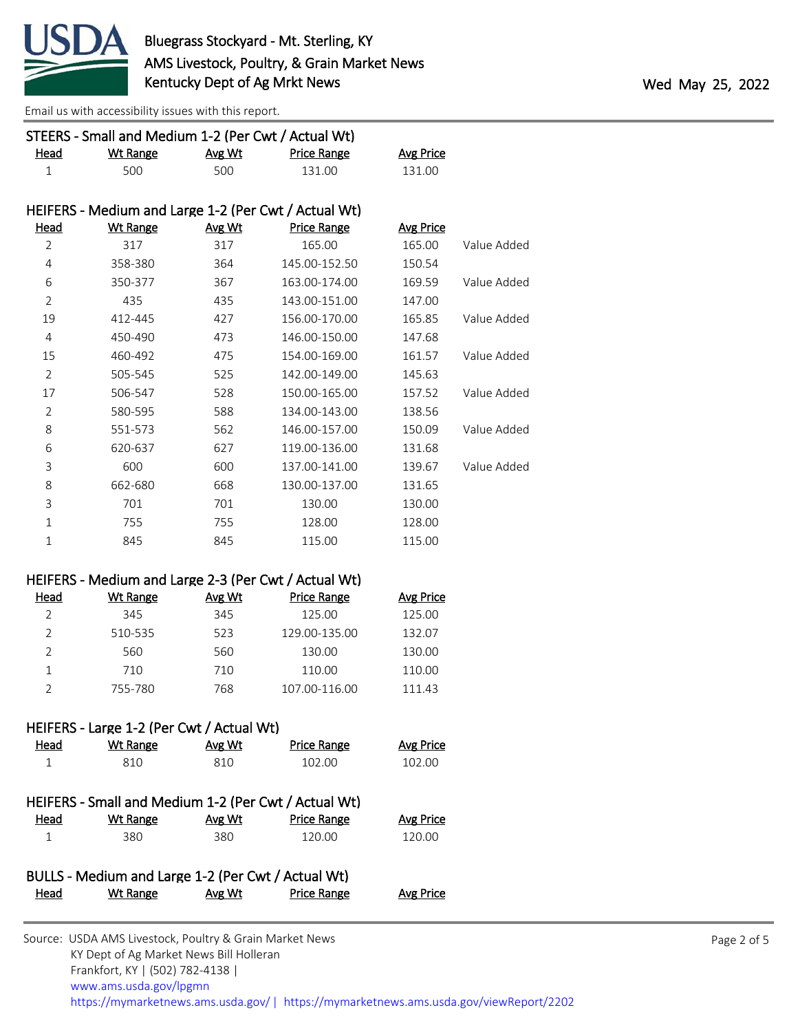

| STEERS - Small and Medium 1-2 (Per Cwt / Actual Wt) |                                                    |               |                                                      |                  |             |
|-----------------------------------------------------|----------------------------------------------------|---------------|------------------------------------------------------|------------------|-------------|
| Head                                                | <b>Wt Range</b>                                    | Avg Wt        | <b>Price Range</b>                                   | <b>Avg Price</b> |             |
| $1\,$                                               | 500                                                | 500           | 131.00                                               | 131.00           |             |
|                                                     |                                                    |               |                                                      |                  |             |
|                                                     |                                                    |               | HEIFERS - Medium and Large 1-2 (Per Cwt / Actual Wt) |                  |             |
| Head                                                | <b>Wt Range</b>                                    | Avg Wt        | <b>Price Range</b>                                   | <b>Avg Price</b> |             |
| $\overline{2}$                                      | 317                                                | 317           | 165.00                                               | 165.00           | Value Added |
| $\overline{4}$                                      | 358-380                                            | 364           | 145.00-152.50                                        | 150.54           |             |
| 6                                                   | 350-377                                            | 367           | 163.00-174.00                                        | 169.59           | Value Added |
| $\overline{2}$                                      | 435                                                | 435           | 143.00-151.00                                        | 147.00           |             |
| 19                                                  | 412-445                                            | 427           | 156.00-170.00                                        | 165.85           | Value Added |
| $\overline{4}$                                      | 450-490                                            | 473           | 146.00-150.00                                        | 147.68           |             |
| 15                                                  | 460-492                                            | 475           | 154.00-169.00                                        | 161.57           | Value Added |
| $\overline{2}$                                      | 505-545                                            | 525           | 142.00-149.00                                        | 145.63           |             |
| 17                                                  | 506-547                                            | 528           | 150.00-165.00                                        | 157.52           | Value Added |
| $\overline{2}$                                      | 580-595                                            | 588           | 134.00-143.00                                        | 138.56           |             |
| 8                                                   | 551-573                                            | 562           | 146.00-157.00                                        | 150.09           | Value Added |
| 6                                                   | 620-637                                            | 627           | 119.00-136.00                                        | 131.68           |             |
| 3                                                   | 600                                                | 600           | 137.00-141.00                                        | 139.67           | Value Added |
| 8                                                   | 662-680                                            | 668           | 130.00-137.00                                        | 131.65           |             |
| 3                                                   | 701                                                | 701           | 130.00                                               | 130.00           |             |
| $\mathbf{1}$                                        | 755                                                | 755           | 128.00                                               | 128.00           |             |
| $\mathbf{1}$                                        | 845                                                | 845           | 115.00                                               | 115.00           |             |
|                                                     |                                                    |               |                                                      |                  |             |
|                                                     |                                                    |               | HEIFERS - Medium and Large 2-3 (Per Cwt / Actual Wt) |                  |             |
| <b>Head</b>                                         | <b>Wt Range</b>                                    | Avg Wt        | <b>Price Range</b>                                   | <b>Avg Price</b> |             |
| $\overline{2}$                                      | 345                                                | 345           | 125.00                                               | 125.00           |             |
| $\overline{2}$                                      | 510-535                                            | 523           | 129.00-135.00                                        | 132.07           |             |
| $\overline{2}$                                      | 560                                                | 560           | 130.00                                               | 130.00           |             |
| $\mathbf{1}$                                        | 710                                                | 710           | 110.00                                               | 110.00           |             |
| $\overline{2}$                                      | 755-780                                            | 768           | 107.00-116.00                                        | 111.43           |             |
|                                                     |                                                    |               |                                                      |                  |             |
|                                                     | HEIFERS - Large 1-2 (Per Cwt / Actual Wt)          |               |                                                      |                  |             |
| Head                                                | Wt Range                                           | Avg Wt        | Price Range                                          | <b>Avg Price</b> |             |
| $\mathbf{1}$                                        | 810                                                | 810           | 102.00                                               | 102.00           |             |
|                                                     |                                                    |               |                                                      |                  |             |
|                                                     |                                                    |               | HEIFERS - Small and Medium 1-2 (Per Cwt / Actual Wt) |                  |             |
| Head                                                | <b>Wt Range</b>                                    | <u>Avg Wt</u> | <b>Price Range</b>                                   | <b>Avg Price</b> |             |
| $\mathbf{1}$                                        | 380                                                | 380           | 120.00                                               | 120.00           |             |
|                                                     | BULLS - Medium and Large 1-2 (Per Cwt / Actual Wt) |               |                                                      |                  |             |
| <u>Head</u>                                         | <b>Wt Range</b>                                    | Avg Wt        | <b>Price Range</b>                                   | <b>Avg Price</b> |             |
|                                                     |                                                    |               |                                                      |                  |             |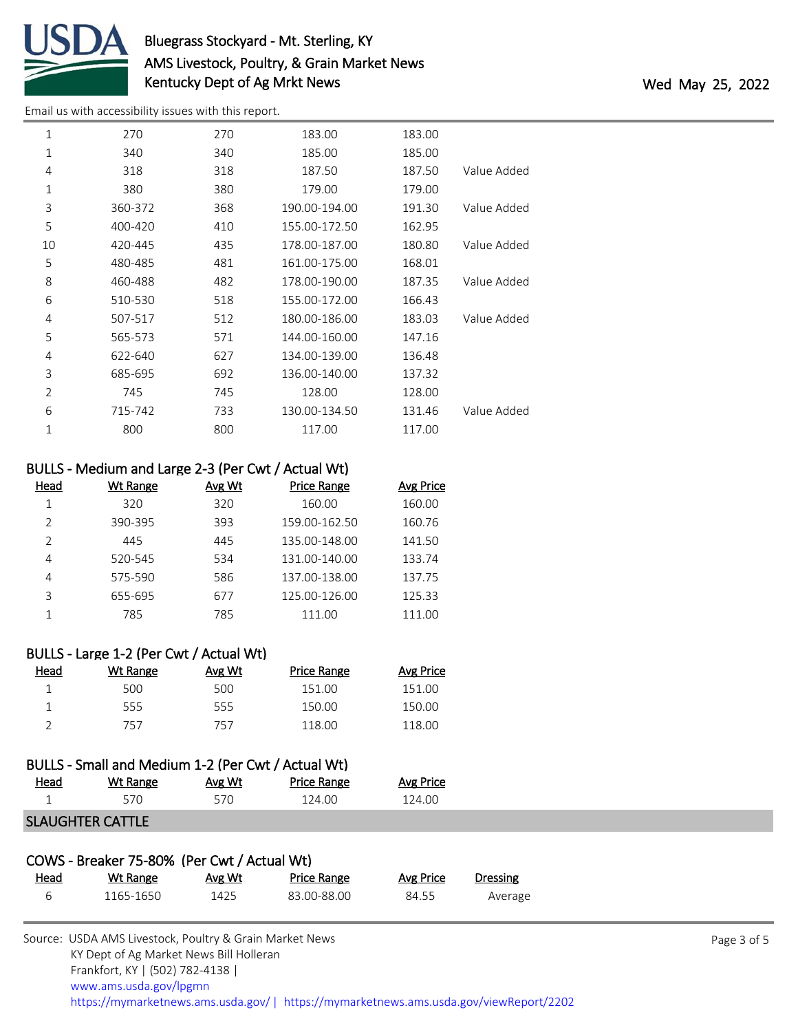

# Bluegrass Stockyard - Mt. Sterling, KY AMS Livestock, Poultry, & Grain Market News Kentucky Dept of Ag Mrkt News Wed May 25, 2022

[Email us with accessibility issues with this report.](mailto:mars@ams.usda.gov?subject=508%20issue)

| 1              | 270     | 270 | 183.00        | 183.00 |             |
|----------------|---------|-----|---------------|--------|-------------|
| $\mathbf{1}$   | 340     | 340 | 185.00        | 185.00 |             |
| 4              | 318     | 318 | 187.50        | 187.50 | Value Added |
| 1              | 380     | 380 | 179.00        | 179.00 |             |
| 3              | 360-372 | 368 | 190.00-194.00 | 191.30 | Value Added |
| 5              | 400-420 | 410 | 155.00-172.50 | 162.95 |             |
| 10             | 420-445 | 435 | 178.00-187.00 | 180.80 | Value Added |
| 5              | 480-485 | 481 | 161.00-175.00 | 168.01 |             |
| 8              | 460-488 | 482 | 178.00-190.00 | 187.35 | Value Added |
| 6              | 510-530 | 518 | 155.00-172.00 | 166.43 |             |
| 4              | 507-517 | 512 | 180.00-186.00 | 183.03 | Value Added |
| 5              | 565-573 | 571 | 144.00-160.00 | 147.16 |             |
| 4              | 622-640 | 627 | 134.00-139.00 | 136.48 |             |
| 3              | 685-695 | 692 | 136.00-140.00 | 137.32 |             |
| $\overline{2}$ | 745     | 745 | 128.00        | 128.00 |             |
| 6              | 715-742 | 733 | 130.00-134.50 | 131.46 | Value Added |
| 1              | 800     | 800 | 117.00        | 117.00 |             |
|                |         |     |               |        |             |

## BULLS - Medium and Large 2-3 (Per Cwt / Actual Wt)

| Head          | Wt Range | Avg Wt | <b>Price Range</b> | Avg Price |
|---------------|----------|--------|--------------------|-----------|
|               | 320      | 320    | 160.00             | 160.00    |
| $\mathcal{P}$ | 390-395  | 393    | 159.00-162.50      | 160.76    |
| $\mathcal{P}$ | 445      | 445    | 135.00-148.00      | 141.50    |
| 4             | 520-545  | 534    | 131.00-140.00      | 133.74    |
| 4             | 575-590  | 586    | 137.00-138.00      | 137.75    |
| ς             | 655-695  | 677    | 125.00-126.00      | 125.33    |
|               | 785      | 785    | 111.00             | 111.00    |
|               |          |        |                    |           |

# BULLS - Large 1-2 (Per Cwt / Actual Wt)

| Head | Wt Range | Avg Wt | <b>Price Range</b> | Avg Price |
|------|----------|--------|--------------------|-----------|
|      | 500      | 500    | 151.00             | 151.00    |
|      | 555      | 555    | 150.00             | 150.00    |
|      | 757      | 757    | 118.00             | 118.00    |

# BULLS - Small and Medium 1-2 (Per Cwt / Actual Wt)

| <u>Head</u> | Wt Range | Avg Wt | Price Range | Avg Price |
|-------------|----------|--------|-------------|-----------|
|             |          |        | 124.00      | 124 በበ    |
|             |          |        |             |           |

# SLAUGHTER CATTLE

| COWS - Breaker 75-80% (Per Cwt / Actual Wt) |           |        |             |           |          |
|---------------------------------------------|-----------|--------|-------------|-----------|----------|
| <u>Head</u>                                 | Wt Range  | Avg Wt | Price Range | Avg Price | Dressing |
| 6                                           | 1165-1650 | 1425   | 83.00-88.00 | 84.55     | Average  |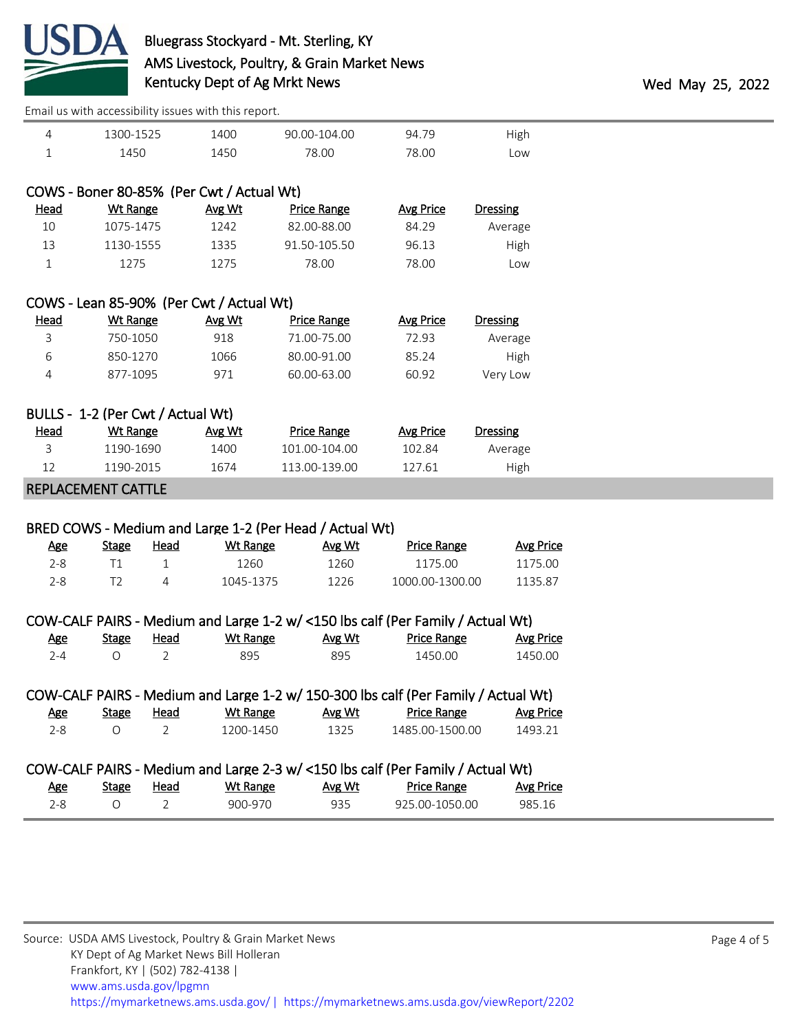

|                 |           |                    |        | LITOIT GU WICH GOOCUUMIICY IUUGCU WICH CHIU I CPUI CI |      |
|-----------------|-----------|--------------------|--------|-------------------------------------------------------|------|
| High            | 94.79     | 90.00-104.00       | 1400   | 1300-1525                                             | 4    |
| Low             | 78.00     | 78.00              | 1450   | 1450                                                  |      |
|                 |           |                    |        |                                                       |      |
|                 |           |                    |        | COWS - Boner 80-85% (Per Cwt / Actual Wt)             |      |
| <b>Dressing</b> | Avg Price | <b>Price Range</b> | Avg Wt | Wt Range                                              | Head |
| Average         | 84.29     | 82.00-88.00        | 1242   | 1075-1475                                             | 10   |
| High            | 96.13     | 91.50-105.50       | 1335   | 1130-1555                                             | 13   |

|      |          | COWS - Lean 85-90% (Per Cwt / Actual Wt) |                  |
|------|----------|------------------------------------------|------------------|
| Head | Wt Range | Δνσ Wt                                   | <b>Price Ran</b> |

| <u>Head</u> | Wt Range | Avg Wt | Price Range | Avg Price | <b>Dressing</b> |
|-------------|----------|--------|-------------|-----------|-----------------|
| 3           | 750-1050 | 918    | 71.00-75.00 | 72.93     | Average         |
| ь           | 850-1270 | 1066   | 80.00-91.00 | 85.24     | High            |
|             | 877-1095 | 971    | 60.00-63.00 | 60.92     | Very Low        |

1 1275 1275 78.00 78.00 Low

|             | BULLS - 1-2 (Per Cwt / Actual Wt) |        |               |           |          |
|-------------|-----------------------------------|--------|---------------|-----------|----------|
| <u>Head</u> | Wt Range                          | Avg Wt | Price Range   | Avg Price | Dressing |
|             | 1190-1690                         | 1400   | 101.00-104.00 | 102.84    | Average  |
| 12          | 1190-2015                         | 1674   | 113.00-139.00 | 127.61    | High     |

#### REPLACEMENT CATTLE

### BRED COWS - Medium and Large 1-2 (Per Head / Actual Wt)

| Age  | Stage | Head | Wt Range  | Avg Wt | Price Range     | <b>Avg Price</b> |
|------|-------|------|-----------|--------|-----------------|------------------|
| 2-8. |       |      | 1260.     | 1260   | 1175.00         | 1175.00          |
| 2-8  |       |      | 1045-1375 | 1226   | 1000.00-1300.00 | 1135.87          |

| COW-CALF PAIRS - Medium and Large 1-2 w/ <150 lbs calf (Per Family / Actual Wt) |              |               |           |        |                                                                                    |                  |
|---------------------------------------------------------------------------------|--------------|---------------|-----------|--------|------------------------------------------------------------------------------------|------------------|
| <u>Age</u>                                                                      | <b>Stage</b> | Head          | Wt Range  | Avg Wt | <b>Price Range</b>                                                                 | <b>Avg Price</b> |
| $2 - 4$                                                                         | $\Omega$     | 2             | 895       | 895    | 1450.00                                                                            | 1450.00          |
|                                                                                 |              |               |           |        |                                                                                    |                  |
|                                                                                 |              |               |           |        | COW-CALF PAIRS - Medium and Large 1-2 w/ 150-300 lbs calf (Per Family / Actual Wt) |                  |
| <u>Age</u>                                                                      | Stage        | Head          | Wt Range  | Avg Wt | Price Range                                                                        | <b>Avg Price</b> |
| $2 - 8$                                                                         | $\Omega$     | $\mathcal{L}$ | 1200-1450 | 1325   | 1485.00-1500.00                                                                    | 1493.21          |
|                                                                                 |              |               |           |        |                                                                                    |                  |
| COW-CALE PAIRS - Medium and Large 2-3 w/ <150 lbs calf (Per Family / Actual Wt) |              |               |           |        |                                                                                    |                  |

|     |       |             |          |        | ا (UVV-CALI TAIN) - McQiqini dhu Large 2-5 W/ SIJO ibs Cali (Fer Family / Actual Wt |           |
|-----|-------|-------------|----------|--------|-------------------------------------------------------------------------------------|-----------|
| Age | Stage | <u>Head</u> | Wt Range | Avg Wt | <b>Price Range</b>                                                                  | Avg Price |
| 2-8 |       |             | 900-970  | 935    | 925.00-1050.00                                                                      | 985.16    |